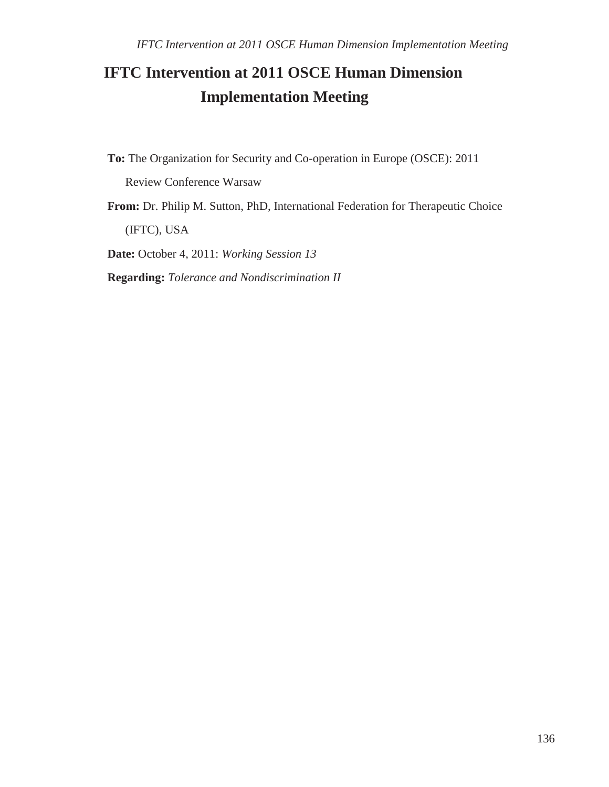## **IFTC Intervention at 2011 OSCE Human Dimension Implementation Meeting**

**To:** The Organization for Security and Co-operation in Europe (OSCE): 2011

Review Conference Warsaw

**From:** Dr. Philip M. Sutton, PhD, International Federation for Therapeutic Choice (IFTC), USA

**Date:** October 4, 2011: *Working Session 13*

**Regarding:** *Tolerance and Nondiscrimination II*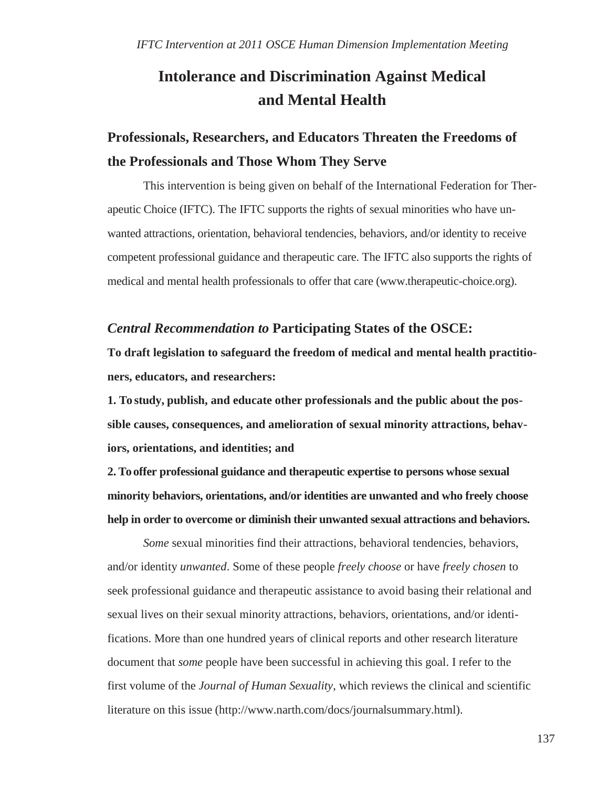## **Intolerance and Discrimination Against Medical and Mental Health**

## **Professionals, Researchers, and Educators Threaten the Freedoms of the Professionals and Those Whom They Serve**

This intervention is being given on behalf of the International Federation for Therapeutic Choice (IFTC). The IFTC supports the rights of sexual minorities who have unwanted attractions, orientation, behavioral tendencies, behaviors, and/or identity to receive competent professional guidance and therapeutic care. The IFTC also supports the rights of medical and mental health professionals to offer that care (www.therapeutic-choice.org).

## *Central Recommendation to* **Participating States of the OSCE:**

**To draft legislation to safeguard the freedom of medical and mental health practitioners, educators, and researchers:**

**1. To study, publish, and educate other professionals and the public about the possible causes, consequences, and amelioration of sexual minority attractions, behaviors, orientations, and identities; and**

**2. To offer professional guidance and therapeutic expertise to persons whose sexual minority behaviors, orientations, and/or identities are unwanted and who freely choose help in order to overcome or diminish their unwanted sexual attractions and behaviors.**

*Some* sexual minorities find their attractions, behavioral tendencies, behaviors, and/or identity *unwanted*. Some of these people *freely choose* or have *freely chosen* to seek professional guidance and therapeutic assistance to avoid basing their relational and sexual lives on their sexual minority attractions, behaviors, orientations, and/or identifications. More than one hundred years of clinical reports and other research literature document that *some* people have been successful in achieving this goal. I refer to the first volume of the *Journal of Human Sexuality*, which reviews the clinical and scientific literature on this issue [\(http://www.narth.com/docs/journalsummary.html\).](http://www.narth.com/docs/journalsummary.html))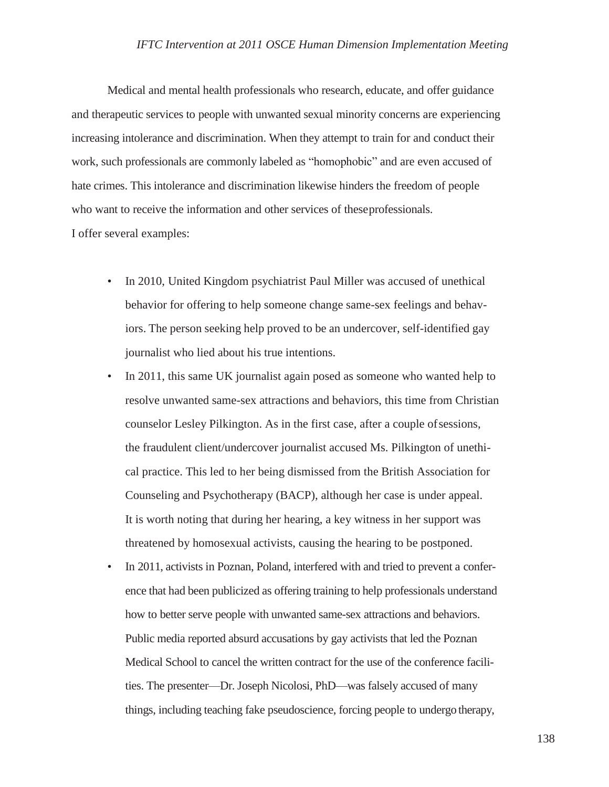Medical and mental health professionals who research, educate, and offer guidance and therapeutic services to people with unwanted sexual minority concerns are experiencing increasing intolerance and discrimination. When they attempt to train for and conduct their work, such professionals are commonly labeled as "homophobic" and are even accused of hate crimes. This intolerance and discrimination likewise hinders the freedom of people who want to receive the information and other services of theseprofessionals. I offer several examples:

- In 2010, United Kingdom psychiatrist Paul Miller was accused of unethical behavior for offering to help someone change same-sex feelings and behaviors. The person seeking help proved to be an undercover, self-identified gay journalist who lied about his true intentions.
- In 2011, this same UK journalist again posed as someone who wanted help to resolve unwanted same-sex attractions and behaviors, this time from Christian counselor Lesley Pilkington. As in the first case, after a couple ofsessions, the fraudulent client/undercover journalist accused Ms. Pilkington of unethical practice. This led to her being dismissed from the British Association for Counseling and Psychotherapy (BACP), although her case is under appeal. It is worth noting that during her hearing, a key witness in her support was threatened by homosexual activists, causing the hearing to be postponed.
- In 2011, activists in Poznan, Poland, interfered with and tried to prevent a conference that had been publicized as offering training to help professionals understand how to better serve people with unwanted same-sex attractions and behaviors. Public media reported absurd accusations by gay activists that led the Poznan Medical School to cancel the written contract for the use of the conference facilities. The presenter—Dr. Joseph Nicolosi, PhD—was falsely accused of many things, including teaching fake pseudoscience, forcing people to undergo therapy,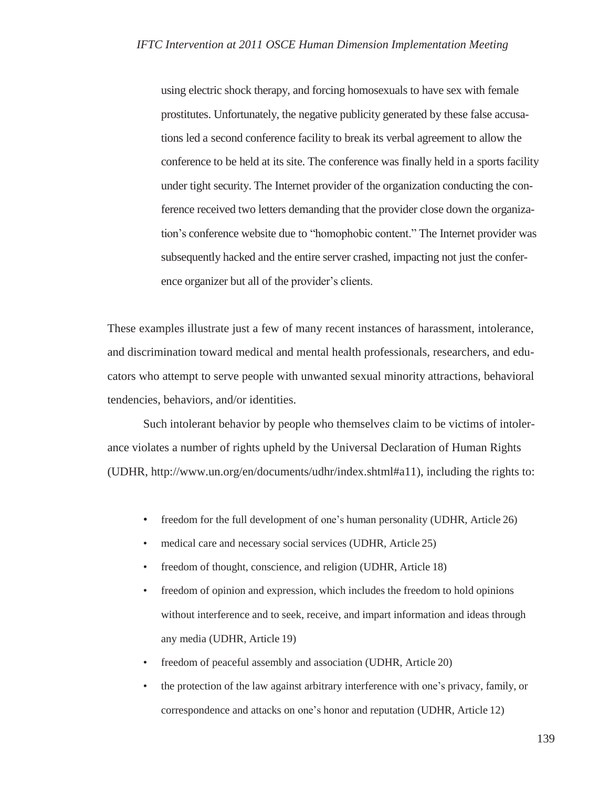using electric shock therapy, and forcing homosexuals to have sex with female prostitutes. Unfortunately, the negative publicity generated by these false accusations led a second conference facility to break its verbal agreement to allow the conference to be held at its site. The conference was finally held in a sports facility under tight security. The Internet provider of the organization conducting the conference received two letters demanding that the provider close down the organization's conference website due to "homophobic content." The Internet provider was subsequently hacked and the entire server crashed, impacting not just the conference organizer but all of the provider's clients.

These examples illustrate just a few of many recent instances of harassment, intolerance, and discrimination toward medical and mental health professionals, researchers, and educators who attempt to serve people with unwanted sexual minority attractions, behavioral tendencies, behaviors, and/or identities.

Such intolerant behavior by people who themselve*s* claim to be victims of intolerance violates a number of rights upheld by the Universal Declaration of Human Rights (UDHR, [http://www.un.org/en/documents/udhr/index.shtml#a11\),](http://www.un.org/en/documents/udhr/index.shtml#a11)) including the rights to:

- freedom for the full development of one's human personality (UDHR, Article 26)
- medical care and necessary social services (UDHR, Article 25)
- freedom of thought, conscience, and religion (UDHR, Article 18)
- freedom of opinion and expression, which includes the freedom to hold opinions without interference and to seek, receive, and impart information and ideas through any media (UDHR, Article 19)
- freedom of peaceful assembly and association (UDHR, Article 20)
- the protection of the law against arbitrary interference with one's privacy, family, or correspondence and attacks on one's honor and reputation (UDHR, Article 12)

139